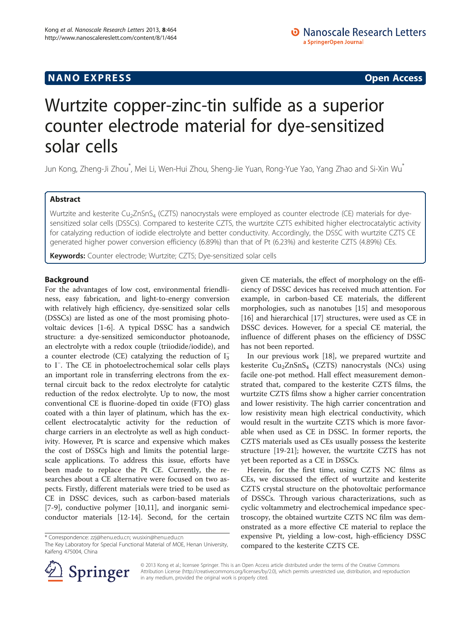## **NANO EXPRESS** Open Access and the set of the set of the set of the set of the set of the set of the set of the set of the set of the set of the set of the set of the set of the set of the set of the set of the set of the

# Wurtzite copper-zinc-tin sulfide as a superior counter electrode material for dye-sensitized solar cells

أسال Jun Kong, Zheng-Ji Zhou ٌ, Mei Li, Wen-Hui Zhou, Sheng-Jie Yuan, Rong-Yue Yao, Yang Zhao and Si-Xin Wu

## Abstract

Wurtzite and kesterite Cu<sub>2</sub>ZnSnS<sub>4</sub> (CZTS) nanocrystals were employed as counter electrode (CE) materials for dyesensitized solar cells (DSSCs). Compared to kesterite CZTS, the wurtzite CZTS exhibited higher electrocatalytic activity for catalyzing reduction of iodide electrolyte and better conductivity. Accordingly, the DSSC with wurtzite CZTS CE generated higher power conversion efficiency (6.89%) than that of Pt (6.23%) and kesterite CZTS (4.89%) CEs.

Keywords: Counter electrode; Wurtzite; CZTS; Dye-sensitized solar cells

## Background

For the advantages of low cost, environmental friendliness, easy fabrication, and light-to-energy conversion with relatively high efficiency, dye-sensitized solar cells (DSSCs) are listed as one of the most promising photovoltaic devices [\[1](#page-4-0)-[6\]](#page-4-0). A typical DSSC has a sandwich structure: a dye-sensitized semiconductor photoanode, an electrolyte with a redox couple (triiodide/iodide), and a counter electrode (CE) catalyzing the reduction of  $I_3^$ to I<sup>−</sup> . The CE in photoelectrochemical solar cells plays an important role in transferring electrons from the external circuit back to the redox electrolyte for catalytic reduction of the redox electrolyte. Up to now, the most conventional CE is fluorine-doped tin oxide (FTO) glass coated with a thin layer of platinum, which has the excellent electrocatalytic activity for the reduction of charge carriers in an electrolyte as well as high conductivity. However, Pt is scarce and expensive which makes the cost of DSSCs high and limits the potential largescale applications. To address this issue, efforts have been made to replace the Pt CE. Currently, the researches about a CE alternative were focused on two aspects. Firstly, different materials were tried to be used as CE in DSSC devices, such as carbon-based materials [[7-9](#page-4-0)], conductive polymer [[10,11](#page-4-0)], and inorganic semiconductor materials [[12-14\]](#page-4-0). Second, for the certain

given CE materials, the effect of morphology on the efficiency of DSSC devices has received much attention. For example, in carbon-based CE materials, the different morphologies, such as nanotubes [\[15](#page-4-0)] and mesoporous [[16\]](#page-4-0) and hierarchical [[17](#page-4-0)] structures, were used as CE in DSSC devices. However, for a special CE material, the influence of different phases on the efficiency of DSSC has not been reported.

In our previous work [[18\]](#page-4-0), we prepared wurtzite and kesterite  $Cu<sub>2</sub>ZnSnS<sub>4</sub>$  (CZTS) nanocrystals (NCs) using facile one-pot method. Hall effect measurement demonstrated that, compared to the kesterite CZTS films, the wurtzite CZTS films show a higher carrier concentration and lower resistivity. The high carrier concentration and low resistivity mean high electrical conductivity, which would result in the wurtzite CZTS which is more favorable when used as CE in DSSC. In former reports, the CZTS materials used as CEs usually possess the kesterite structure [\[19](#page-4-0)-[21\]](#page-4-0); however, the wurtzite CZTS has not yet been reported as a CE in DSSCs.

Herein, for the first time, using CZTS NC films as CEs, we discussed the effect of wurtzite and kesterite CZTS crystal structure on the photovoltaic performance of DSSCs. Through various characterizations, such as cyclic voltammetry and electrochemical impedance spectroscopy, the obtained wurtzite CZTS NC film was demonstrated as a more effective CE material to replace the expensive Pt, yielding a low-cost, high-efficiency DSSC compared to the kesterite CZTS CE.



© 2013 Kong et al.; licensee Springer. This is an Open Access article distributed under the terms of the Creative Commons Attribution License [\(http://creativecommons.org/licenses/by/2.0\)](http://creativecommons.org/licenses/by/2.0), which permits unrestricted use, distribution, and reproduction in any medium, provided the original work is properly cited.

<sup>\*</sup> Correspondence: [zzj@henu.edu.cn](mailto:zzj@henu.edu.cn); [wusixin@henu.edu.cn](mailto:wusixin@henu.edu.cn)

The Key Laboratory for Special Functional Material of MOE, Henan University, Kaifeng 475004, China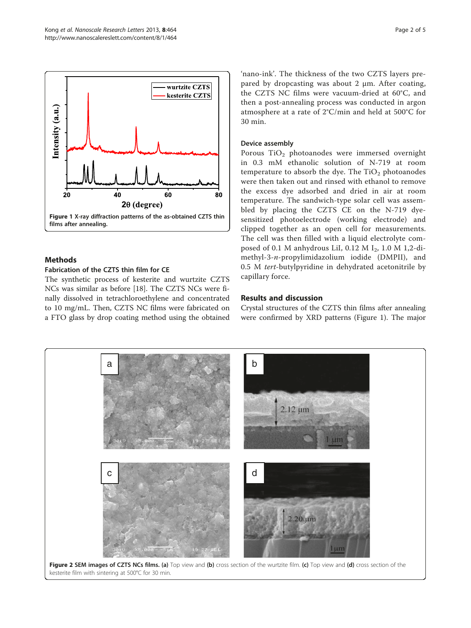<span id="page-1-0"></span>

## Methods

#### Fabrication of the CZTS thin film for CE

The synthetic process of kesterite and wurtzite CZTS NCs was similar as before [[18](#page-4-0)]. The CZTS NCs were finally dissolved in tetrachloroethylene and concentrated to 10 mg/mL. Then, CZTS NC films were fabricated on a FTO glass by drop coating method using the obtained

'nano-ink'. The thickness of the two CZTS layers prepared by dropcasting was about 2 μm. After coating, the CZTS NC films were vacuum-dried at 60°C, and then a post-annealing process was conducted in argon atmosphere at a rate of 2°C/min and held at 500°C for 30 min.

### Device assembly

Porous TiO<sub>2</sub> photoanodes were immersed overnight in 0.3 mM ethanolic solution of N-719 at room temperature to absorb the dye. The  $TiO<sub>2</sub>$  photoanodes were then taken out and rinsed with ethanol to remove the excess dye adsorbed and dried in air at room temperature. The sandwich-type solar cell was assembled by placing the CZTS CE on the N-719 dyesensitized photoelectrode (working electrode) and clipped together as an open cell for measurements. The cell was then filled with a liquid electrolyte composed of 0.1 M anhydrous LiI, 0.12 M I<sub>2</sub>, 1.0 M 1,2-dimethyl-3-n-propylimidazolium iodide (DMPII), and 0.5 M tert-butylpyridine in dehydrated acetonitrile by capillary force.

## Results and discussion

Crystal structures of the CZTS thin films after annealing were confirmed by XRD patterns (Figure 1). The major

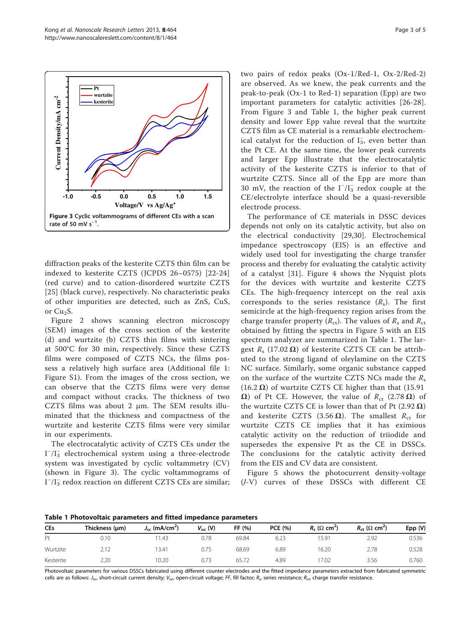<span id="page-2-0"></span>

diffraction peaks of the kesterite CZTS thin film can be indexed to kesterite CZTS (JCPDS 26–0575) [\[22](#page-4-0)-[24](#page-4-0)] (red curve) and to cation-disordered wurtzite CZTS [[25](#page-4-0)] (black curve), respectively. No characteristic peaks of other impurities are detected, such as ZnS, CuS, or  $Cu<sub>2</sub>S$ .

Figure [2](#page-1-0) shows scanning electron microscopy (SEM) images of the cross section of the kesterite (d) and wurtzite (b) CZTS thin films with sintering at 500°C for 30 min, respectively. Since these CZTS films were composed of CZTS NCs, the films possess a relatively high surface area (Additional file [1](#page-3-0): Figure S1). From the images of the cross section, we can observe that the CZTS films were very dense and compact without cracks. The thickness of two CZTS films was about 2 μm. The SEM results illuminated that the thickness and compactness of the wurtzite and kesterite CZTS films were very similar in our experiments.

The electrocatalytic activity of CZTS CEs under the  $I^{-}/I_{3}^{-}$  electrochemical system using a three-electrode system was investigated by cyclic voltammetry (CV) (shown in Figure 3). The cyclic voltammograms of I<sup>-</sup>/I<sub>3</sub> redox reaction on different CZTS CEs are similar;

two pairs of redox peaks (Ox-1/Red-1, Ox-2/Red-2) are observed. As we knew, the peak currents and the peak-to-peak (Ox-1 to Red-1) separation (Epp) are two important parameters for catalytic activities [[26](#page-4-0)-[28](#page-4-0)]. From Figure 3 and Table 1, the higher peak current density and lower Epp value reveal that the wurtzite CZTS film as CE material is a remarkable electrochemical catalyst for the reduction of  $I_3^$ , even better than the Pt CE. At the same time, the lower peak currents and larger Epp illustrate that the electrocatalytic activity of the kesterite CZTS is inferior to that of wurtzite CZTS. Since all of the Epp are more than 30 mV, the reaction of the  $I^-/I_3^-$  redox couple at the CE/electrolyte interface should be a quasi-reversible electrode process.

The performance of CE materials in DSSC devices depends not only on its catalytic activity, but also on the electrical conductivity [[29,30\]](#page-4-0). Electrochemical impedance spectroscopy (EIS) is an effective and widely used tool for investigating the charge transfer process and thereby for evaluating the catalytic activity of a catalyst [[31\]](#page-4-0). Figure [4](#page-3-0) shows the Nyquist plots for the devices with wurtzite and kesterite CZTS CEs. The high-frequency intercept on the real axis corresponds to the series resistance  $(R_s)$ . The first semicircle at the high-frequency region arises from the charge transfer property ( $R_{\rm ct}$ ). The values of  $R_{\rm s}$  and  $R_{\rm ct}$ obtained by fitting the spectra in Figure [5](#page-3-0) with an EIS spectrum analyzer are summarized in Table 1. The largest  $R_s$  (17.02  $\Omega$ ) of kesterite CZTS CE can be attributed to the strong ligand of oleylamine on the CZTS NC surface. Similarly, some organic substance capped on the surface of the wurtzite CZTS NCs made the  $R_s$ (16.2  $\Omega$ ) of wurtzite CZTS CE higher than that (15.91  $Ω$ ) of Pt CE. However, the value of  $R_{ct}$  (2.78  $Ω$ ) of the wurtzite CZTS CE is lower than that of Pt  $(2.92 \Omega)$ and kesterite CZTS (3.56  $\Omega$ ). The smallest  $R_{\rm ct}$  for wurtzite CZTS CE implies that it has eximious catalytic activity on the reduction of triiodide and supersedes the expensive Pt as the CE in DSSCs. The conclusions for the catalytic activity derived from the EIS and CV data are consistent.

Figure [5](#page-3-0) shows the photocurrent density-voltage (J-V) curves of these DSSCs with different CE

Table 1 Photovoltaic parameters and fitted impedance parameters

| <b>CEs</b>     | Thickness (µm) | $J_{sc}$ (mA/cm <sup>2</sup> ) | $V_{\rm oc}$ (V) | FF (%) | <b>PCE (%)</b> | $R_s$ ( $\Omega$ cm <sup>2</sup> ) | $R_{\rm ct}$ ( $\Omega$ cm <sup>2</sup> ) | Epp (V) |
|----------------|----------------|--------------------------------|------------------|--------|----------------|------------------------------------|-------------------------------------------|---------|
| P <sub>t</sub> | 0.10           | 11.43                          | 0.78             | 69.84  | 6.23           | 15.91                              | 2.92                                      | 0.536   |
| Wurtzite       | 2.12           | 13.41                          | 0.75             | 68.69  | 6.89           | 16.20                              | 2.78                                      | 0.528   |
| Kesterite      | 2.20           | 10.20                          | 0.73             | 65.72  | 4.89           | 17.02                              | 3.56                                      | 0.760   |

Photovoltaic parameters for various DSSCs fabricated using different counter electrodes and the fitted impedance parameters extracted from fabricated symmetric cells are as follows: J<sub>sc</sub>, short-circuit current density; V<sub>oc</sub>, open-circuit voltage; FF, fill factor; R<sub>s</sub>, series resistance; R<sub>ct</sub>, charge transfer resistance.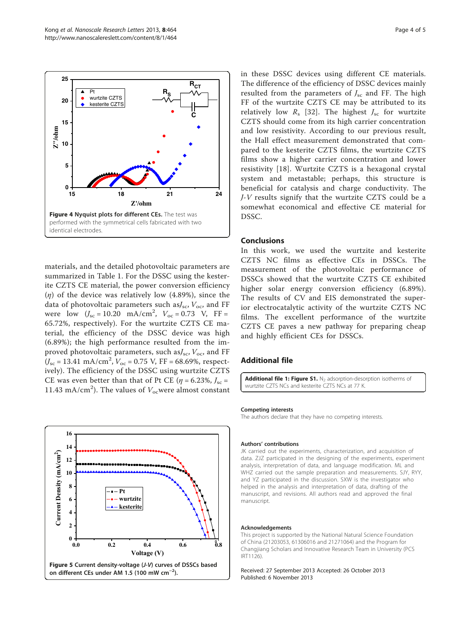<span id="page-3-0"></span>

materials, and the detailed photovoltaic parameters are summarized in Table [1.](#page-2-0) For the DSSC using the kesterite CZTS CE material, the power conversion efficiency  $(n)$  of the device was relatively low (4.89%), since the data of photovoltaic parameters such as $J_{\rm sc}$ ,  $V_{\rm oc}$ , and FF were  $low$  ( $J_{\rm sc} = 10.20$  mA/cm<sup>2</sup>,  $V_{\rm oc} = 0.73$  V, FF = 65.72%, respectively). For the wurtzite CZTS CE material, the efficiency of the DSSC device was high (6.89%); the high performance resulted from the improved photovoltaic parameters, such as $J_{\rm sc}$ ,  $V_{\rm oc}$ , and FF  $(U_{\rm sc} = 13.41 \text{ mA/cm}^2$ ,  $V_{\rm oc} = 0.75 \text{ V}$ , FF = 68.69%, respectively). The efficiency of the DSSC using wurtzite CZTS CE was even better than that of Pt CE ( $\eta$  = 6.23%,  $J_{\rm sc}$  = 11.43 mA/cm<sup>2</sup>). The values of  $V_{oc}$ were almost constant



in these DSSC devices using different CE materials. The difference of the efficiency of DSSC devices mainly resulted from the parameters of  $J_{\rm sc}$  and FF. The high FF of the wurtzite CZTS CE may be attributed to its relatively low  $R_s$  [[32\]](#page-4-0). The highest  $J_{\rm sc}$  for wurtzite CZTS should come from its high carrier concentration and low resistivity. According to our previous result, the Hall effect measurement demonstrated that compared to the kesterite CZTS films, the wurtzite CZTS films show a higher carrier concentration and lower resistivity [[18](#page-4-0)]. Wurtzite CZTS is a hexagonal crystal system and metastable; perhaps, this structure is beneficial for catalysis and charge conductivity. The J-V results signify that the wurtzite CZTS could be a somewhat economical and effective CE material for DSSC.

#### Conclusions

In this work, we used the wurtzite and kesterite CZTS NC films as effective CEs in DSSCs. The measurement of the photovoltaic performance of DSSCs showed that the wurtzite CZTS CE exhibited higher solar energy conversion efficiency (6.89%). The results of CV and EIS demonstrated the superior electrocatalytic activity of the wurtzite CZTS NC films. The excellent performance of the wurtzite CZTS CE paves a new pathway for preparing cheap and highly efficient CEs for DSSCs.

#### Additional file

[Additional file 1: Figure S1.](http://www.biomedcentral.com/content/supplementary/1556-276X-8-464-S1.doc)  $N_2$  adsorption-desorption isotherms of wurtzite CZTS NCs and kesterite CZTS NCs at 77 K.

#### Competing interests

The authors declare that they have no competing interests.

#### Authors' contributions

JK carried out the experiments, characterization, and acquisition of data. ZJZ participated in the designing of the experiments, experiment analysis, interpretation of data, and language modification. ML and WHZ carried out the sample preparation and measurements. SJY, RYY, and YZ participated in the discussion. SXW is the investigator who helped in the analysis and interpretation of data, drafting of the manuscript, and revisions. All authors read and approved the final manuscript.

#### Acknowledgements

This project is supported by the National Natural Science Foundation of China (21203053, 61306016 and 21271064) and the Program for Changjiang Scholars and Innovative Research Team in University (PCS IRT1126).

Received: 27 September 2013 Accepted: 26 October 2013 Published: 6 November 2013